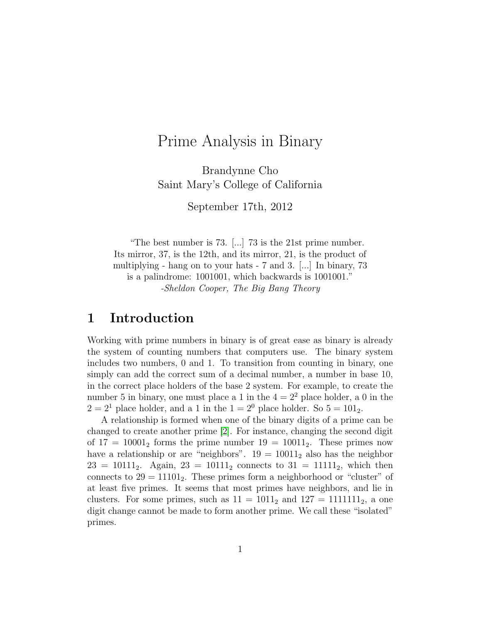# Prime Analysis in Binary

Brandynne Cho Saint Mary's College of California

September 17th, 2012

"The best number is 73. [...] 73 is the 21st prime number. Its mirror, 37, is the 12th, and its mirror, 21, is the product of multiplying - hang on to your hats - 7 and 3. [...] In binary, 73 is a palindrome: 1001001, which backwards is 1001001." -Sheldon Cooper, The Big Bang Theory

### 1 Introduction

Working with prime numbers in binary is of great ease as binary is already the system of counting numbers that computers use. The binary system includes two numbers, 0 and 1. To transition from counting in binary, one simply can add the correct sum of a decimal number, a number in base 10, in the correct place holders of the base 2 system. For example, to create the number 5 in binary, one must place a 1 in the  $4 = 2^2$  place holder, a 0 in the  $2 = 2<sup>1</sup>$  place holder, and a 1 in the  $1 = 2<sup>0</sup>$  place holder. So  $5 = 101<sub>2</sub>$ .

A relationship is formed when one of the binary digits of a prime can be changed to create another prime [\[2\]](#page-12-0). For instance, changing the second digit of  $17 = 10001_2$  forms the prime number  $19 = 10011_2$ . These primes now have a relationship or are "neighbors".  $19 = 10011_2$  also has the neighbor  $23 = 10111_2$ . Again,  $23 = 10111_2$  connects to  $31 = 11111_2$ , which then connects to  $29 = 11101_2$ . These primes form a neighborhood or "cluster" of at least five primes. It seems that most primes have neighbors, and lie in clusters. For some primes, such as  $11 = 1011_2$  and  $127 = 1111111_2$ , a one digit change cannot be made to form another prime. We call these "isolated" primes.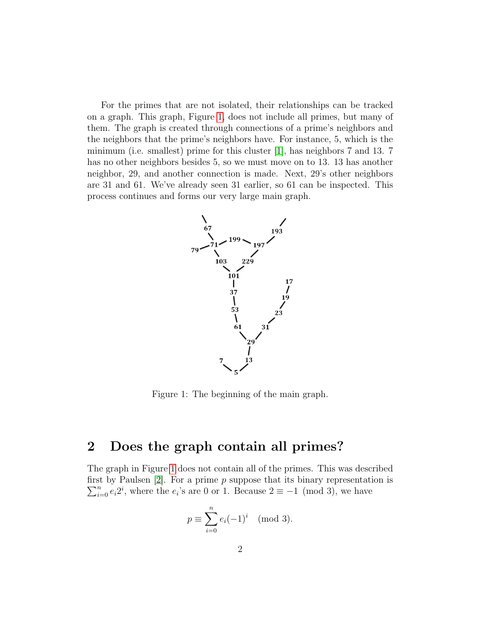For the primes that are not isolated, their relationships can be tracked on a graph. This graph, Figure [1,](#page-1-0) does not include all primes, but many of them. The graph is created through connections of a prime's neighbors and the neighbors that the prime's neighbors have. For instance, 5, which is the minimum (i.e. smallest) prime for this cluster [\[1\]](#page-12-1), has neighbors 7 and 13. 7 has no other neighbors besides 5, so we must move on to 13. 13 has another neighbor, 29, and another connection is made. Next, 29's other neighbors are 31 and 61. We've already seen 31 earlier, so 61 can be inspected. This process continues and forms our very large main graph.

<span id="page-1-0"></span>

Figure 1: The beginning of the main graph.

### 2 Does the graph contain all primes?

The graph in Figure [1](#page-1-0) does not contain all of the primes. This was described first by Paulsen  $[2]$ . For a prime p suppose that its binary representation is  $\sum_{i=0}^{n} e_i 2^i$ , where the  $e_i$ 's are 0 or 1. Because  $2 \equiv -1 \pmod{3}$ , we have

$$
p \equiv \sum_{i=0}^{n} e_i (-1)^i \pmod{3}.
$$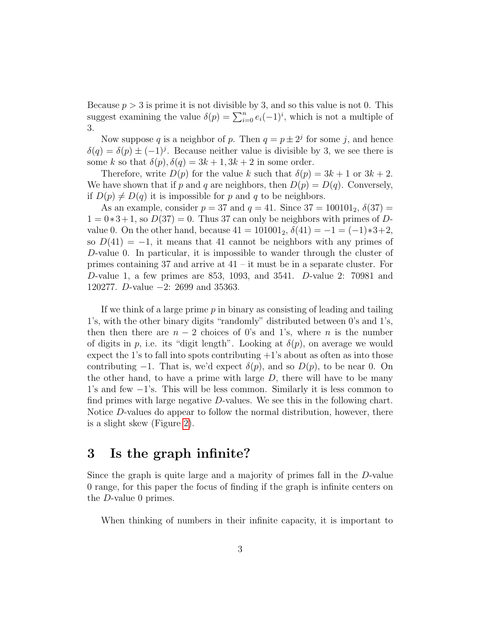Because  $p > 3$  is prime it is not divisible by 3, and so this value is not 0. This suggest examining the value  $\delta(p) = \sum_{i=0}^{n} e_i(-1)^i$ , which is not a multiple of 3.

Now suppose q is a neighbor of p. Then  $q = p \pm 2^{j}$  for some j, and hence  $\delta(q) = \delta(p) \pm (-1)^j$ . Because neither value is divisible by 3, we see there is some k so that  $\delta(p)$ ,  $\delta(q) = 3k + 1$ ,  $3k + 2$  in some order.

Therefore, write  $D(p)$  for the value k such that  $\delta(p) = 3k + 1$  or  $3k + 2$ . We have shown that if p and q are neighbors, then  $D(p) = D(q)$ . Conversely, if  $D(p) \neq D(q)$  it is impossible for p and q to be neighbors.

As an example, consider  $p = 37$  and  $q = 41$ . Since  $37 = 100101_2$ ,  $\delta(37) =$  $1 = 0*3+1$ , so  $D(37) = 0$ . Thus 37 can only be neighbors with primes of Dvalue 0. On the other hand, because  $41 = 101001_2$ ,  $\delta(41) = -1 = (-1)*3+2$ , so  $D(41) = -1$ , it means that 41 cannot be neighbors with any primes of D-value 0. In particular, it is impossible to wander through the cluster of primes containing 37 and arrive at  $41 -$ it must be in a separate cluster. For D-value 1, a few primes are 853, 1093, and 3541. D-value 2: 70981 and 120277. D-value −2: 2699 and 35363.

If we think of a large prime  $p$  in binary as consisting of leading and tailing 1's, with the other binary digits "randomly" distributed between 0's and 1's, then then there are  $n-2$  choices of 0's and 1's, where n is the number of digits in p, i.e. its "digit length". Looking at  $\delta(p)$ , on average we would expect the 1's to fall into spots contributing  $+1$ 's about as often as into those contributing  $-1$ . That is, we'd expect  $\delta(p)$ , and so  $D(p)$ , to be near 0. On the other hand, to have a prime with large  $D$ , there will have to be many 1's and few −1's. This will be less common. Similarly it is less common to find primes with large negative D-values. We see this in the following chart. Notice D-values do appear to follow the normal distribution, however, there is a slight skew (Figure [2\)](#page-3-0).

### 3 Is the graph infinite?

Since the graph is quite large and a majority of primes fall in the D-value 0 range, for this paper the focus of finding if the graph is infinite centers on the D-value 0 primes.

When thinking of numbers in their infinite capacity, it is important to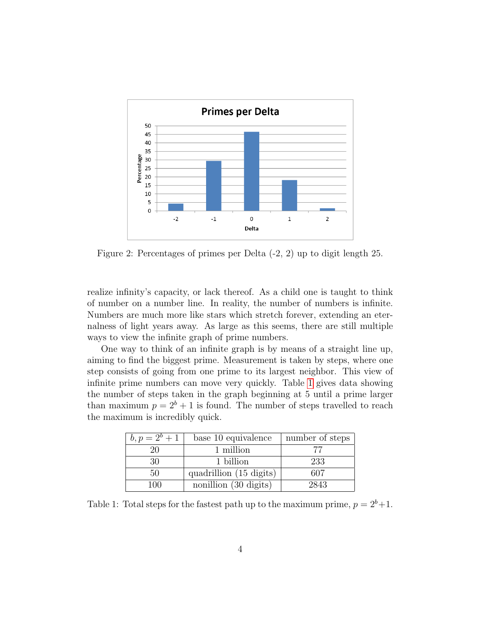<span id="page-3-0"></span>

Figure 2: Percentages of primes per Delta (-2, 2) up to digit length 25.

realize infinity's capacity, or lack thereof. As a child one is taught to think of number on a number line. In reality, the number of numbers is infinite. Numbers are much more like stars which stretch forever, extending an eternalness of light years away. As large as this seems, there are still multiple ways to view the infinite graph of prime numbers.

One way to think of an infinite graph is by means of a straight line up, aiming to find the biggest prime. Measurement is taken by steps, where one step consists of going from one prime to its largest neighbor. This view of infinite prime numbers can move very quickly. Table [1](#page-3-1) gives data showing the number of steps taken in the graph beginning at 5 until a prime larger than maximum  $p = 2^b + 1$  is found. The number of steps travelled to reach the maximum is incredibly quick.

<span id="page-3-1"></span>

| $b, p = 2^b + 1$ | base 10 equivalence     | number of steps |
|------------------|-------------------------|-----------------|
| 20               | 1 million               | 77              |
| 30               | 1 billion               | 233             |
| 50               | quadrillion (15 digits) | 607             |
| 100              | nonillion (30 digits)   | 2843            |

Table 1: Total steps for the fastest path up to the maximum prime,  $p = 2^b + 1$ .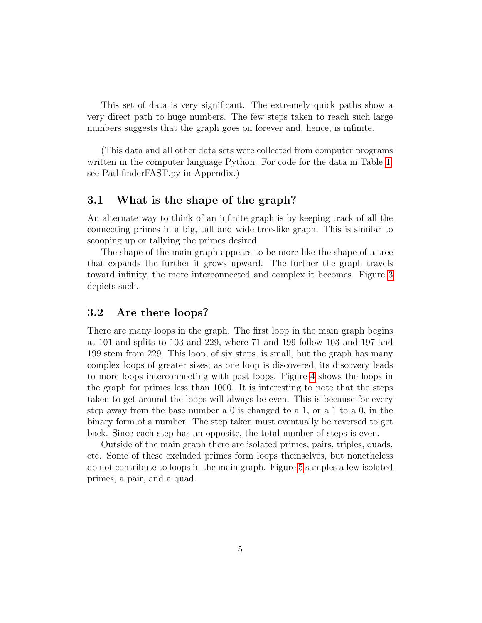This set of data is very significant. The extremely quick paths show a very direct path to huge numbers. The few steps taken to reach such large numbers suggests that the graph goes on forever and, hence, is infinite.

(This data and all other data sets were collected from computer programs written in the computer language Python. For code for the data in Table [1,](#page-3-1) see PathfinderFAST.py in Appendix.)

### 3.1 What is the shape of the graph?

An alternate way to think of an infinite graph is by keeping track of all the connecting primes in a big, tall and wide tree-like graph. This is similar to scooping up or tallying the primes desired.

The shape of the main graph appears to be more like the shape of a tree that expands the further it grows upward. The further the graph travels toward infinity, the more interconnected and complex it becomes. Figure [3](#page-5-0) depicts such.

### 3.2 Are there loops?

There are many loops in the graph. The first loop in the main graph begins at 101 and splits to 103 and 229, where 71 and 199 follow 103 and 197 and 199 stem from 229. This loop, of six steps, is small, but the graph has many complex loops of greater sizes; as one loop is discovered, its discovery leads to more loops interconnecting with past loops. Figure [4](#page-6-0) shows the loops in the graph for primes less than 1000. It is interesting to note that the steps taken to get around the loops will always be even. This is because for every step away from the base number a 0 is changed to a 1, or a 1 to a 0, in the binary form of a number. The step taken must eventually be reversed to get back. Since each step has an opposite, the total number of steps is even.

Outside of the main graph there are isolated primes, pairs, triples, quads, etc. Some of these excluded primes form loops themselves, but nonetheless do not contribute to loops in the main graph. Figure [5](#page-7-0) samples a few isolated primes, a pair, and a quad.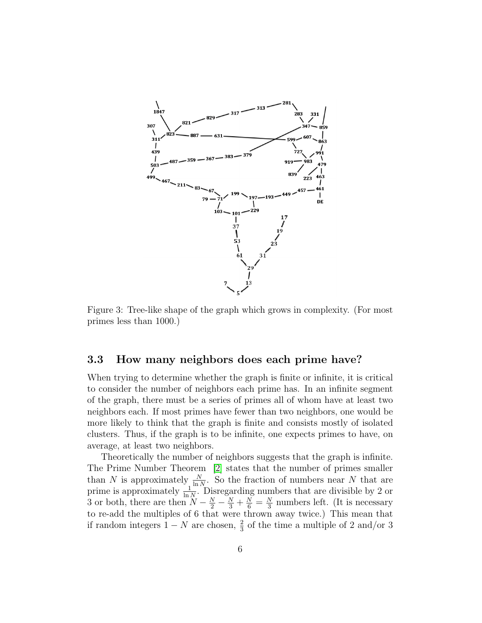<span id="page-5-0"></span>

Figure 3: Tree-like shape of the graph which grows in complexity. (For most primes less than 1000.)

### 3.3 How many neighbors does each prime have?

When trying to determine whether the graph is finite or infinite, it is critical to consider the number of neighbors each prime has. In an infinite segment of the graph, there must be a series of primes all of whom have at least two neighbors each. If most primes have fewer than two neighbors, one would be more likely to think that the graph is finite and consists mostly of isolated clusters. Thus, if the graph is to be infinite, one expects primes to have, on average, at least two neighbors.

Theoretically the number of neighbors suggests that the graph is infinite. The Prime Number Theorem [\[2\]](#page-12-0) states that the number of primes smaller than N is approximately  $\frac{N}{\ln N}$ . So the fraction of numbers near N that are prime is approximately  $\frac{1}{\ln N}$ . Disregarding numbers that are divisible by 2 or 3 or both, there are then  $N - \frac{N}{2} - \frac{N}{3} + \frac{N}{6} = \frac{N}{3}$  $\frac{N}{3}$  numbers left. (It is necessary to re-add the multiples of 6 that were thrown away twice.) This mean that if random integers  $1 - N$  are chosen,  $\frac{2}{3}$  of the time a multiple of 2 and/or 3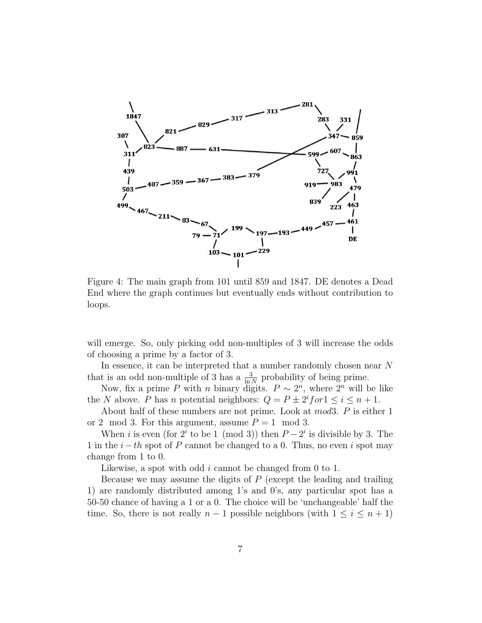<span id="page-6-0"></span>

Figure 4: The main graph from 101 until 859 and 1847. DE denotes a Dead End where the graph continues but eventually ends without contribution to loops.

will emerge. So, only picking odd non-multiples of 3 will increase the odds of choosing a prime by a factor of 3.

In essence, it can be interpreted that a number randomly chosen near N that is an odd non-multiple of 3 has a  $\frac{3}{\ln N}$  probability of being prime.

Now, fix a prime P with n binary digits.  $P \sim 2^n$ , where  $2^n$  will be like the N above. P has n potential neighbors:  $Q = P \pm 2^{i}$  for  $1 \leq i \leq n + 1$ .

About half of these numbers are not prime. Look at mod3. P is either 1 or 2 mod 3. For this argument, assume  $P = 1 \mod 3$ .

When *i* is even (for  $2^i$  to be 1 (mod 3)) then  $P - 2^i$  is divisible by 3. The 1 in the  $i-th$  spot of P cannot be changed to a 0. Thus, no even i spot may change from 1 to 0.

Likewise, a spot with odd i cannot be changed from 0 to 1.

Because we may assume the digits of  $P$  (except the leading and trailing 1) are randomly distributed among 1's and 0's, any particular spot has a 50-50 chance of having a 1 or a 0. The choice will be 'unchangeable' half the time. So, there is not really  $n-1$  possible neighbors (with  $1 \leq i \leq n+1$ )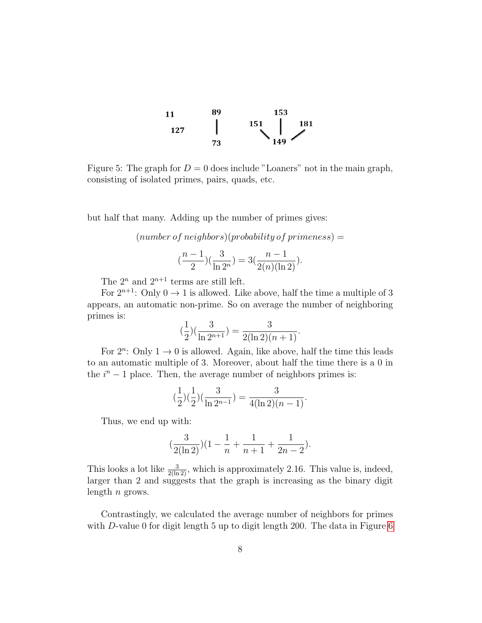<span id="page-7-0"></span>

Figure 5: The graph for  $D = 0$  does include "Loaners" not in the main graph, consisting of isolated primes, pairs, quads, etc.

but half that many. Adding up the number of primes gives:

 $(number of neighbors)(probability of primeness) =$ 

$$
\left(\frac{n-1}{2}\right)\left(\frac{3}{\ln 2^n}\right) = 3\left(\frac{n-1}{2(n)(\ln 2)}\right).
$$

The  $2^n$  and  $2^{n+1}$  terms are still left.

For  $2^{n+1}$ : Only  $0 \rightarrow 1$  is allowed. Like above, half the time a multiple of 3 appears, an automatic non-prime. So on average the number of neighboring primes is:

$$
(\frac{1}{2})(\frac{3}{\ln 2^{n+1}}) = \frac{3}{2(\ln 2)(n+1)}.
$$

For  $2^n$ : Only  $1 \rightarrow 0$  is allowed. Again, like above, half the time this leads to an automatic multiple of 3. Moreover, about half the time there is a 0 in the  $i<sup>n</sup> - 1$  place. Then, the average number of neighbors primes is:

$$
(\frac{1}{2})(\frac{1}{2})(\frac{3}{\ln 2^{n-1}}) = \frac{3}{4(\ln 2)(n-1)}.
$$

Thus, we end up with:

$$
(\frac{3}{2(\ln 2)})(1 - \frac{1}{n} + \frac{1}{n+1} + \frac{1}{2n-2}).
$$

This looks a lot like  $\frac{3}{2(\ln 2)}$ , which is approximately 2.16. This value is, indeed, larger than 2 and suggests that the graph is increasing as the binary digit length  $n$  grows.

Contrastingly, we calculated the average number of neighbors for primes with D-value 0 for digit length 5 up to digit length 200. The data in Figure [6](#page-8-0)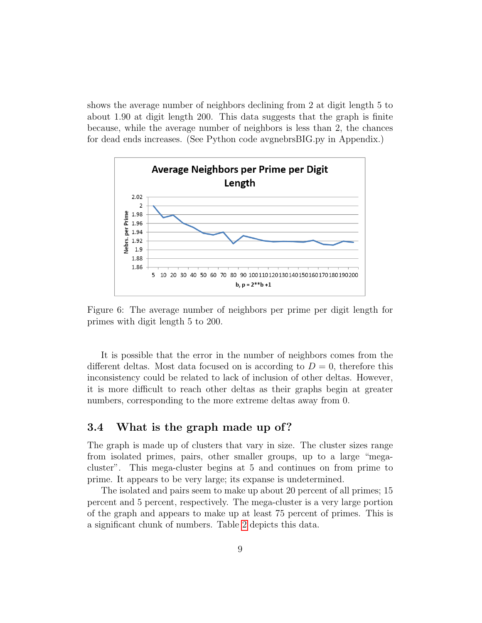shows the average number of neighbors declining from 2 at digit length 5 to about 1.90 at digit length 200. This data suggests that the graph is finite because, while the average number of neighbors is less than 2, the chances for dead ends increases. (See Python code avgnebrsBIG.py in Appendix.)

<span id="page-8-0"></span>

Figure 6: The average number of neighbors per prime per digit length for primes with digit length 5 to 200.

It is possible that the error in the number of neighbors comes from the different deltas. Most data focused on is according to  $D = 0$ , therefore this inconsistency could be related to lack of inclusion of other deltas. However, it is more difficult to reach other deltas as their graphs begin at greater numbers, corresponding to the more extreme deltas away from 0.

### 3.4 What is the graph made up of?

The graph is made up of clusters that vary in size. The cluster sizes range from isolated primes, pairs, other smaller groups, up to a large "megacluster". This mega-cluster begins at 5 and continues on from prime to prime. It appears to be very large; its expanse is undetermined.

The isolated and pairs seem to make up about 20 percent of all primes; 15 percent and 5 percent, respectively. The mega-cluster is a very large portion of the graph and appears to make up at least 75 percent of primes. This is a significant chunk of numbers. Table [2](#page-9-0) depicts this data.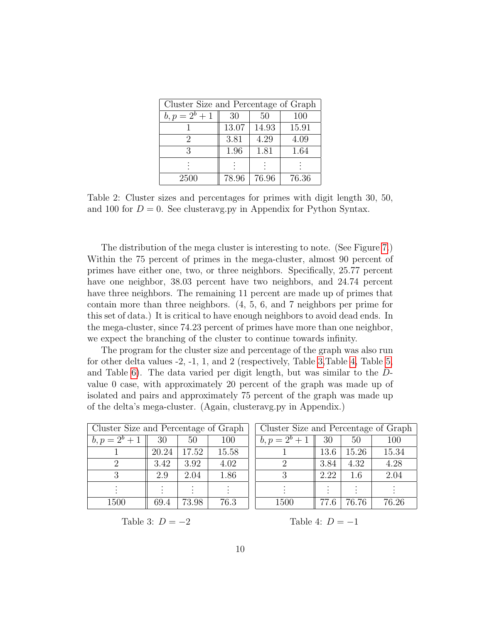<span id="page-9-0"></span>

| Cluster Size and Percentage of Graph |       |       |       |  |  |
|--------------------------------------|-------|-------|-------|--|--|
| $b, p = 2^b + 1$                     | 30    | 50    | 100   |  |  |
|                                      | 13.07 | 14.93 | 15.91 |  |  |
| 2                                    | 3.81  | 4.29  | 4.09  |  |  |
| 3                                    | 1.96  | 1.81  | 1.64  |  |  |
|                                      |       |       |       |  |  |
| 2500                                 | 78.96 | 76.96 | 76.36 |  |  |

Table 2: Cluster sizes and percentages for primes with digit length 30, 50, and 100 for  $D = 0$ . See clusteravg.py in Appendix for Python Syntax.

The distribution of the mega cluster is interesting to note. (See Figure [7.](#page-10-0)) Within the 75 percent of primes in the mega-cluster, almost 90 percent of primes have either one, two, or three neighbors. Specifically, 25.77 percent have one neighbor, 38.03 percent have two neighbors, and 24.74 percent have three neighbors. The remaining 11 percent are made up of primes that contain more than three neighbors. (4, 5, 6, and 7 neighbors per prime for this set of data.) It is critical to have enough neighbors to avoid dead ends. In the mega-cluster, since 74.23 percent of primes have more than one neighbor, we expect the branching of the cluster to continue towards infinity.

The program for the cluster size and percentage of the graph was also run for other delta values -2, -1, 1, and 2 (respectively, Table [3,](#page-9-1)Table [4,](#page-9-1) Table [5,](#page-10-1) and Table [6\)](#page-10-1). The data varied per digit length, but was similar to the Dvalue 0 case, with approximately 20 percent of the graph was made up of isolated and pairs and approximately 75 percent of the graph was made up of the delta's mega-cluster. (Again, clusteravg.py in Appendix.)

<span id="page-9-1"></span>

| Cluster Size and Percentage of Graph |       |       |       |  |
|--------------------------------------|-------|-------|-------|--|
| $b, p = 2^b + 1$                     | 30    | 50    | 100   |  |
|                                      | 20.24 | 17.52 | 15.58 |  |
| $\mathcal{D}_{\mathcal{L}}$          | 3.42  | 3.92  | 4.02  |  |
| 3                                    | 2.9   | 2.04  | 1.86  |  |
|                                      |       |       |       |  |
| 1500                                 | 69.4  | 73.98 | 76.3  |  |

| Cluster Size and Percentage of Graph |      |       |       |  |  |
|--------------------------------------|------|-------|-------|--|--|
| $b, p = 2^b + 1$                     | 30   | 50    | 100   |  |  |
|                                      | 13.6 | 15.26 | 15.34 |  |  |
| $\overline{2}$                       | 3.84 | 4.32  | 4.28  |  |  |
| 3                                    | 2.22 | 1.6   | 2.04  |  |  |
|                                      |      |       |       |  |  |
| 1500                                 | 77.6 | 76.76 | 76.26 |  |  |

Table 3:  $D = -2$ 

Table 4:  $D = -1$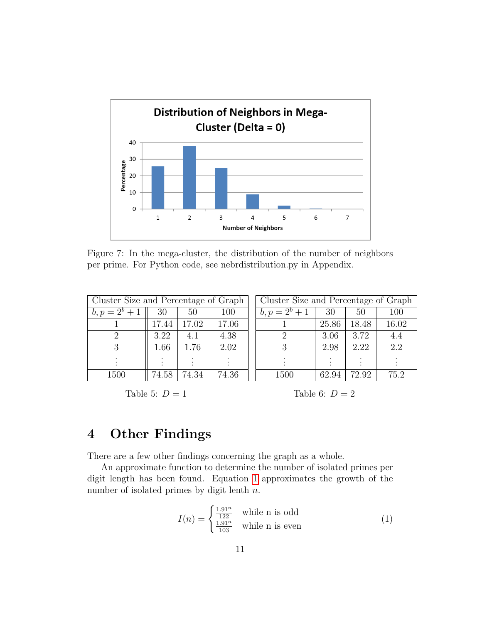<span id="page-10-0"></span>

Figure 7: In the mega-cluster, the distribution of the number of neighbors per prime. For Python code, see nebrdistribution.py in Appendix.

<span id="page-10-1"></span>

| Cluster Size and Percentage of Graph |       | Cluster Size and Percentage of Graph |       |                               |       |       |                  |
|--------------------------------------|-------|--------------------------------------|-------|-------------------------------|-------|-------|------------------|
| $b, p = 2^b + 1 \parallel 30$        |       | 50                                   | 100   | $b, p = 2^b + 1 \parallel 30$ |       | 50    | 100              |
|                                      | 17.44 | 17.02                                | 17.06 |                               | 25.86 | 18.48 | 16.02            |
|                                      | 3.22  | 4.1                                  | 4.38  |                               | 3.06  | 3.72  | 4.4              |
| 3                                    | 1.66  | 1.76                                 | 2.02  |                               | 2.98  | 2.22  | $\overline{2.2}$ |
|                                      |       |                                      |       |                               |       |       |                  |
| 1500                                 | 74.58 | 74.34                                | 74.36 | 1500                          | 62.94 | 72.92 | 75.2             |

Table 5:  $D = 1$ 

Table 6:  $D = 2$ 

## 4 Other Findings

There are a few other findings concerning the graph as a whole.

An approximate function to determine the number of isolated primes per digit length has been found. Equation [1](#page-10-2) approximates the growth of the number of isolated primes by digit lenth  $n$ .

<span id="page-10-2"></span>
$$
I(n) = \begin{cases} \frac{1.91^n}{122} & \text{while n is odd} \\ \frac{1.91^n}{103} & \text{while n is even} \end{cases}
$$
 (1)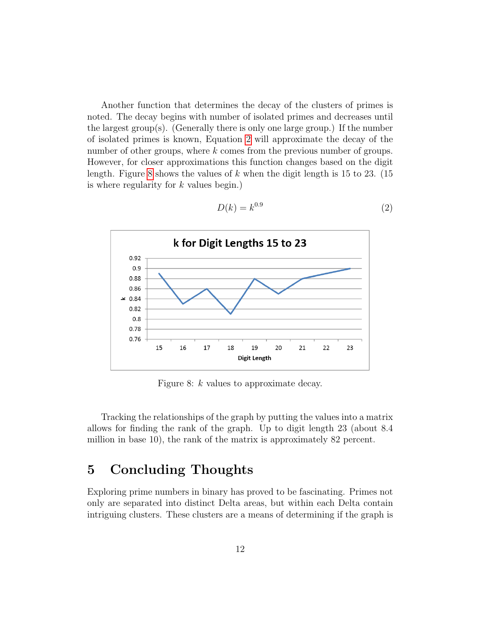Another function that determines the decay of the clusters of primes is noted. The decay begins with number of isolated primes and decreases until the largest group(s). (Generally there is only one large group.) If the number of isolated primes is known, Equation [2](#page-11-0) will approximate the decay of the number of other groups, where k comes from the previous number of groups. However, for closer approximations this function changes based on the digit length. Figure [8](#page-11-1) shows the values of k when the digit length is  $15$  to  $23$ . (15) is where regularity for k values begin.)

<span id="page-11-1"></span>

<span id="page-11-0"></span>
$$
D(k) = k^{0.9} \tag{2}
$$

Figure 8: k values to approximate decay.

Tracking the relationships of the graph by putting the values into a matrix allows for finding the rank of the graph. Up to digit length 23 (about 8.4 million in base 10), the rank of the matrix is approximately 82 percent.

## 5 Concluding Thoughts

Exploring prime numbers in binary has proved to be fascinating. Primes not only are separated into distinct Delta areas, but within each Delta contain intriguing clusters. These clusters are a means of determining if the graph is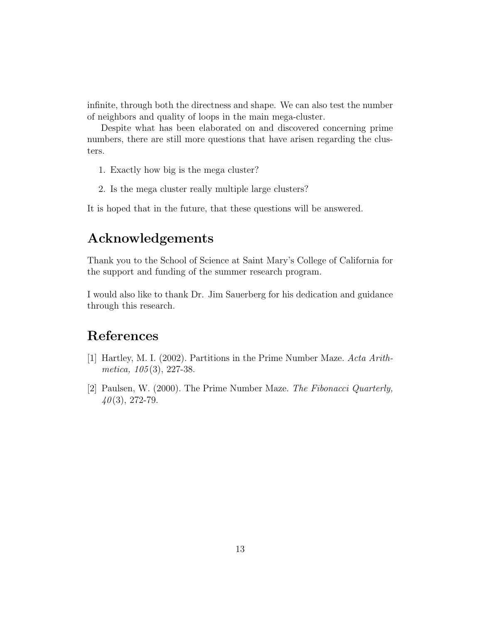infinite, through both the directness and shape. We can also test the number of neighbors and quality of loops in the main mega-cluster.

Despite what has been elaborated on and discovered concerning prime numbers, there are still more questions that have arisen regarding the clusters.

- 1. Exactly how big is the mega cluster?
- 2. Is the mega cluster really multiple large clusters?

It is hoped that in the future, that these questions will be answered.

## Acknowledgements

Thank you to the School of Science at Saint Mary's College of California for the support and funding of the summer research program.

I would also like to thank Dr. Jim Sauerberg for his dedication and guidance through this research.

# References

- <span id="page-12-1"></span>[1] Hartley, M. I. (2002). Partitions in the Prime Number Maze. Acta Arithmetica,  $105(3)$ , 227-38.
- <span id="page-12-0"></span>[2] Paulsen, W. (2000). The Prime Number Maze. The Fibonacci Quarterly,  $40(3)$ , 272-79.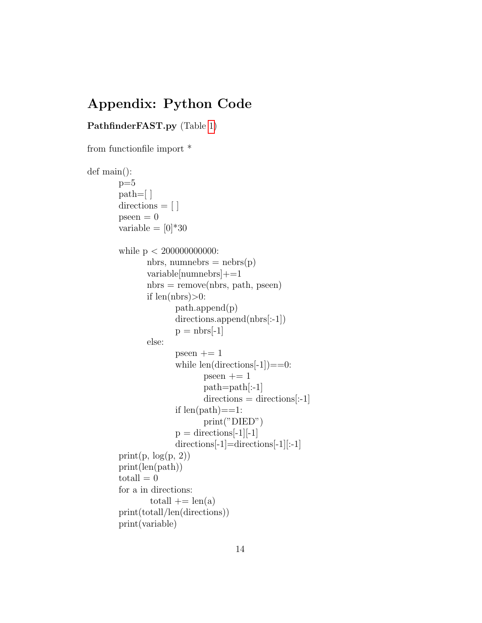## Appendix: Python Code

### PathfinderFAST.py (Table [1\)](#page-3-1)

```
from functionfile import *
def main():
       p=5path=[ ]
       directions = [ ]pseen = 0variable =[0]^*30while p < 200000000000:
               nbrs, numnebrs = nebrs(p)variable[numnebrs]+=1
               nbrs = remove(nbrs, path, pseen)if len(nbrs) > 0:
                      path.append(p)
                      directions.append(nbrs[:-1])
                      p = nbrs[-1]else:
                      pseen += 1while len(directions[-1]) == 0:
                             pseen += 1path=path[:-1]
                             directions = directions[:-1]if len(path) == 1:
                             print("DIED")
                      p = directions[-1][-1]
                      directions[-1]=directions[-1][:-1]
       print(p, log(p, 2))print(len(path))
       totall = 0for a in directions:
               totall \rightarrow = len(a)print(totall/len(directions))
       print(variable)
```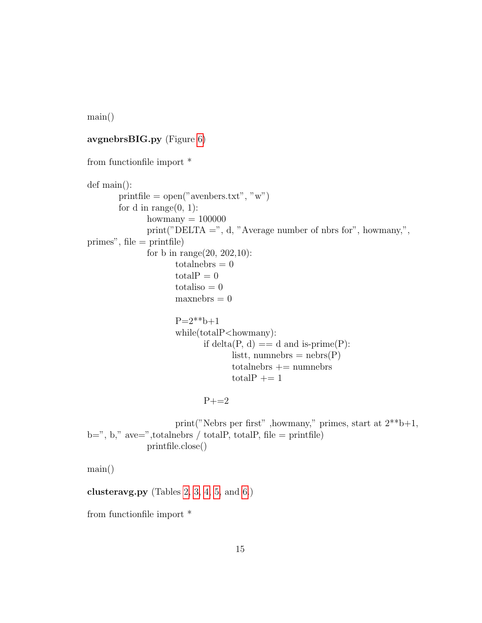main()

#### avgnebrsBIG.py (Figure [6\)](#page-8-0)

```
from functionfile import *
def main():
       printfile = open("avenbers.txt", "w")for d in range(0, 1):
              howmany = 100000print("DELTA =", d, "Average number of nbrs for", howmany,",
primes", file = printfile)
              for b in range(20, 202, 10):
                    totalnebras = 0totalP = 0totaliso = 0maxnebrs = 0P=2***b+1while(totalP<howmany):
                           if delta(P, d) = d and is-prime(P):
                                  listt, numnebrs = nebrs(P)totalnebrs += numberstotalP += 1
                           P+=2
```
print("Nebrs per first" ,<br>howmany," primes, start at  $2^{**}b+1,$  $b =$ ", b," ave=",totalnebrs / totalP, totalP, file = printfile) printfile.close()

main()

clusteravg.py (Tables [2,](#page-9-0) [3, 4,](#page-9-1) [5,](#page-10-1) and [6.](#page-10-1))

from functionfile import \*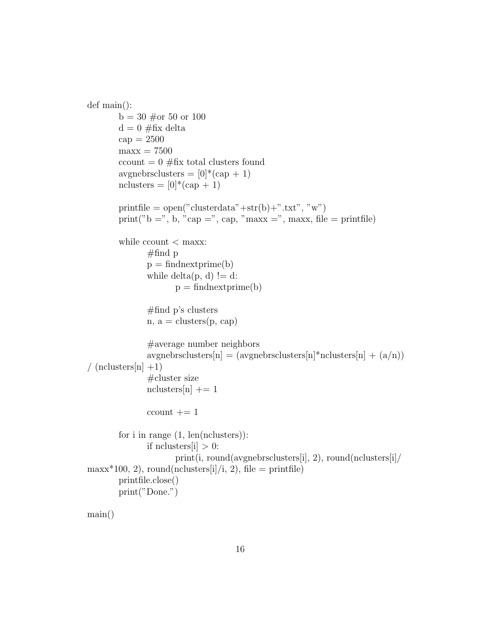```
def main():
       b = 30 \text{ } \#or 50 or 100
       d = 0 \#fix delta
       cap = 2500maxx = 7500ccount = 0 \#fix total clusters found
       avgnebrsclusters = [0]^*(cap + 1)nclusters = [0]^*(cap + 1)printfile = open("clusterdata" + str(b) +".txt", "w")print("b =", b, "cap =", cap, "maxx =", maxx, file = printfile)
       while ccount < maxx:
              #find pp = findnextprime(b)while delta(p, d) != d:
                      p = findnextprime(b)#find p's clusters
              n, a = clusters(p, cap)#average number neighbors
               avgnebrsclusters[n] = (avgnebrsclusters[n]^*nclusters[n] + (a/n)/ (nclusters[n]+1)#cluster size
              nclusters[n] += 1ccount += 1for i in range (1, len(nclusters)):
              if nclusters |i| > 0:
                      print(i, round(avgnebrsclusters[i], 2), round(nclusters[i]/
maxx*100, 2, round(nclusters[i]/i, 2), file = printfile)
       printfile.close()
       print("Done.")
```
main()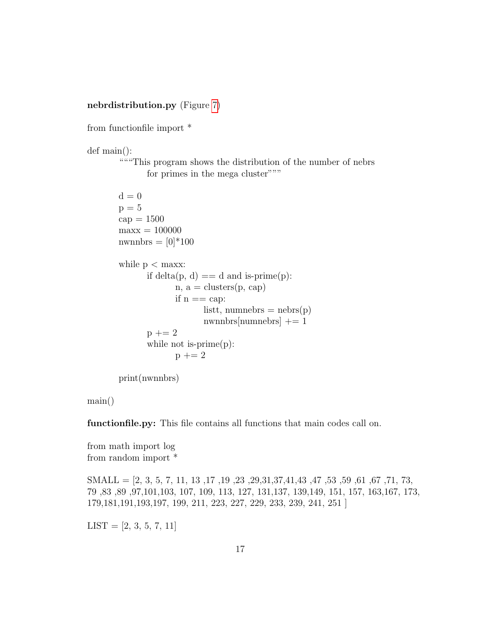#### nebrdistribution.py (Figure [7\)](#page-10-0)

from functionfile import \*

def main():

"""This program shows the distribution of the number of nebrs for primes in the mega cluster"""

```
d = 0p = 5cap = 1500maxx = 100000nwnnbrs = [0]*100
while p < maxx:
      if delta(p, d) = d and is-prime(p):
             n, a = clusters(p, cap)if n == cap:
                   listt, numnebrs = nebrs(p)numhers[numbers] += 1p \, + = 2while not is-prime(p):
             p \mid = 2
```
print(nwnnbrs)

main()

functionfile.py: This file contains all functions that main codes call on.

from math import log from random import \*

SMALL =  $[2, 3, 5, 7, 11, 13, 17, 19, 23, 29, 31, 37, 41, 43, 47, 53, 59, 61, 67, 71, 73,$ 79 ,83 ,89 ,97,101,103, 107, 109, 113, 127, 131,137, 139,149, 151, 157, 163,167, 173, 179,181,191,193,197, 199, 211, 223, 227, 229, 233, 239, 241, 251 ]

 $LIST = [2, 3, 5, 7, 11]$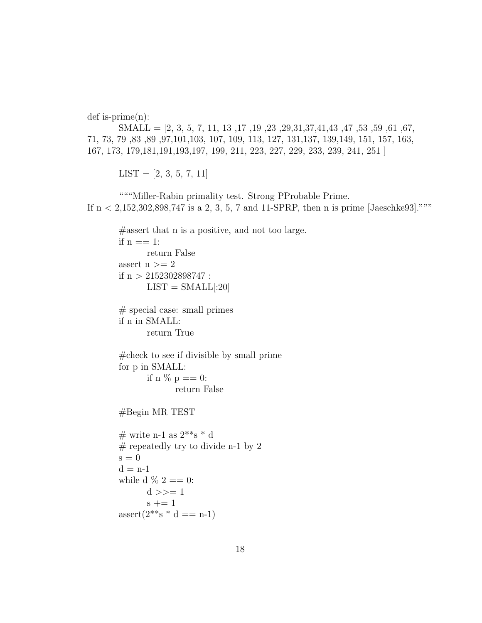def is-prime(n):

SMALL =  $[2, 3, 5, 7, 11, 13, 17, 19, 23, 29, 31, 37, 41, 43, 47, 53, 59, 61, 67,$ 71, 73, 79 ,83 ,89 ,97,101,103, 107, 109, 113, 127, 131,137, 139,149, 151, 157, 163, 167, 173, 179,181,191,193,197, 199, 211, 223, 227, 229, 233, 239, 241, 251 ]

 $LIST = [2, 3, 5, 7, 11]$ 

"""Miller-Rabin primality test. Strong PProbable Prime. If  $n < 2,152,302,898,747$  is a 2, 3, 5, 7 and 11-SPRP, then n is prime [Jaeschke93]."""

```
#assert that n is a positive, and not too large.
if n == 1:
      return False
assert n >= 2if n > 2152302898747:
      LIST = SMALL[:20]# special case: small primes
if n in SMALL:
      return True
#check to see if divisible by small prime
for p in SMALL:
      if n \% p == 0:
             return False
#Begin MR TEST
# write n-1 as 2***s * d
# repeatedly try to divide n-1 by 2
s = 0d = n-1while d \% 2 = 0:
      d \gg = 1s += 1assert(2^{**} s * d == n-1)
```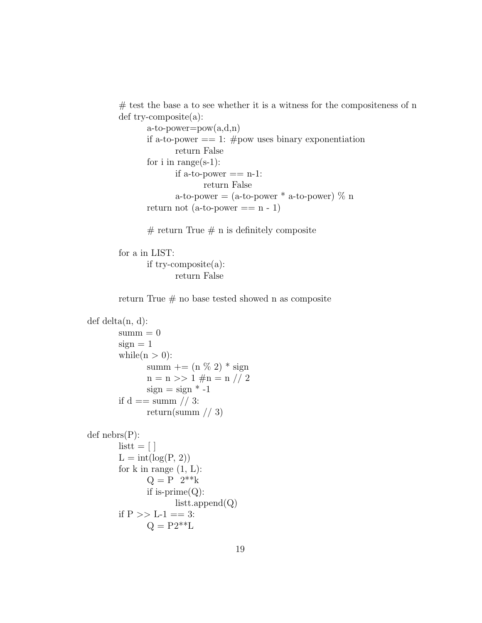$#$  test the base a to see whether it is a witness for the compositeness of n def try-composite(a):

```
a-to-power=pow(a,d,n)if a-to-power == 1: #pow uses binary exponentiation
       return False
for i in range(s-1):
       if a-to-power == n-1:
             return False
       a-to-power = (a-to-power * a-to-power) \% nreturn not (a-to-power == n - 1)
```
 $#$  return True  $#$  n is definitely composite

for a in LIST: if try-composite(a): return False

return True  $#$  no base tested showed n as composite

```
def delta(n, d):
       summ = 0sign = 1while(n > 0):
              summ += (n \% 2) * sign
              n = n \gg 1 \# n = n \text{ // } 2sign = sign * -1if d == summ // 3:
              return(summ // 3)def nebrs(P):
       listt = [L = int(log(P, 2))for k in range (1, L):
              Q = P 2**kif is-prime(Q):
                     listt.append(Q)if P >> L-1 == 3:
              Q = P2**L
```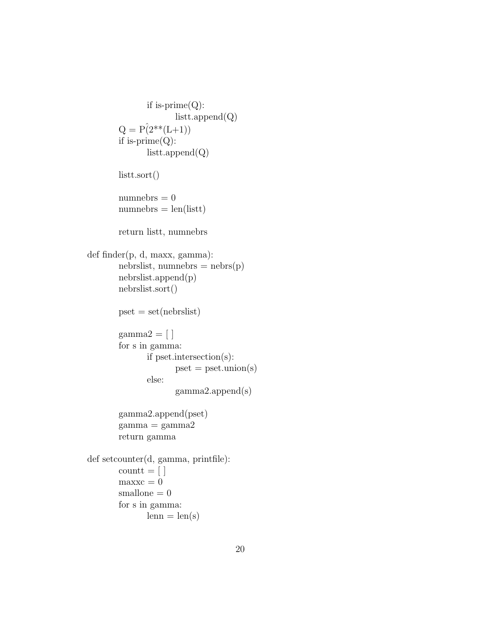```
if is-prime(Q):
                     listt.append(Q)
       Q = P(2^{**}(L+1))if is-prime(Q):
              listt.append(Q)listt.sort()
       numnebrs = 0numnebrs = len(listt)return listt, numnebrs
def finder(p, d, maxx, gamma):
       nebrslist, numnebrs = nebrs(p)nebrslist.append(p)
       nebrslist.sort()
       pset = set(nebrslist)gamma2 = [ ]for s in gamma:
              if pset.intersection(s):
                     pset = pset.union(s)
              else:
                     gamma2.append(s)
       gamma2.append(pset)
       gamma = gamma2return gamma
def setcounter(d, gamma, printfile):
       count = \lceil \rceilmaxxc = 0smallone = 0for s in gamma:
              lenn = len(s)
```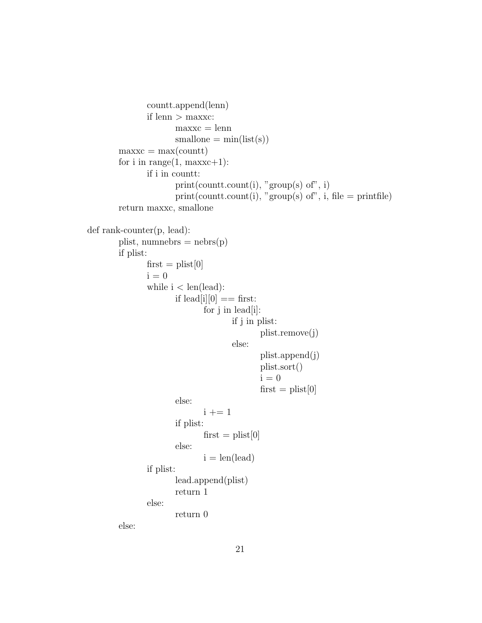```
countt.append(lenn)
               if lenn > maxxc:
                       maxxc = lennsmallone = min(list(s))maxxc = max(count)for i in range(1, \text{maxxc}+1):
               if i in countt:
                       print(count.count(i), "group(s) of", i)print(count.count(i), "group(s) of", i, file = printfile)return maxxc, smallone
def rank-counter(p, lead):
        plist, numnebrs = nebrs(p)if plist:
               first = plist[0]i = 0while i < \text{len}(\text{lead}):
                       if lead[i][0] == first:
                              for j in lead[i]:
                                      if j in plist:
                                              plist.remove(j)
                                      else:
                                              plist.append(j)
                                              plist.sort()
                                              i = 0first = plist[0]else:
                              i + = 1if plist:
                              first = plist[0]else:
                              i = len(lead)if plist:
                       lead.append(plist)
                       return 1
               else:
                       return 0
        else:
```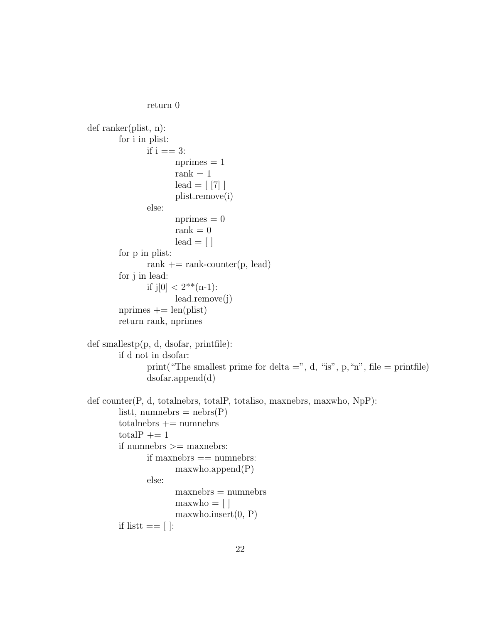```
return 0
```

```
def ranker(plist, n):
       for i in plist:
              if i == 3:
                      nprimes = 1rank = 1\text{lead} = [7]plist.remove(i)
              else:
                      nprimes = 0\mathrm{rank}=0\text{lead} = [\ ]for p in plist:
              rank += rank-counter(p, lead)
       for j in lead:
              if j[0] < 2^{**}(n-1):
                      lead.remove(j)
       nprimes += len(plist)
       return rank, nprimes
def smallestp(p, d, dsofar, printfile):
       if d not in dsofar:
              print("The smallest prime for delta =", d, "is", p, "n", file = printfile)
              dsofar.append(d)
def counter(P, d, totalnebrs, totalP, totaliso, maxnebrs, maxwho, NpP):
       listt, numnebrs = nebrs(P)totalnebrs += numberstotalP += 1
       if numnebrs >= maxnebrs:
              if maxnebrs == numnebrs:
                      maxwho.append(P)else:
                      maxnebrs = numbersmaxwho = []maxwho.insert(0, P)if list == [ ]:
```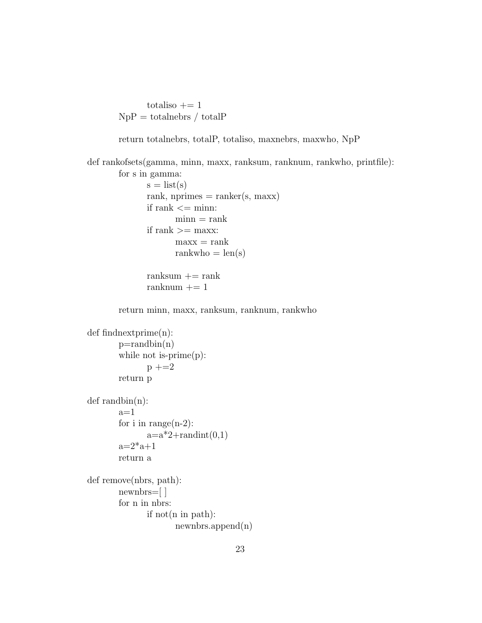totaliso  $+= 1$  $NpP =$  totalnebrs / total $P$ 

return totalnebrs, totalP, totaliso, maxnebrs, maxwho, NpP

```
def rankofsets(gamma, minn, maxx, ranksum, ranknum, rankwho, printfile):
       for s in gamma:
             s = list(s)rank, nprimes = ranker(s, maxx)
             if rank <= minn:
                    min = rankif rank >= maxx:
                    maxx = rankrankwho = len(s)
             ranksum += rank
             ranknum += 1return minn, maxx, ranksum, ranknum, rankwho
def findnextprime(n):
       p=randbin(n)while not is-prime(p):
             p +=2
       return p
def randbin(n):
       a=1for i in range(n-2):
             a=a*2+randint(0,1)a=2^*a+1return a
def remove(nbrs, path):
       newnbrs=[ ]
       for n in nbrs:
             if not(n in path):
                    newnbrs.append(n)
```